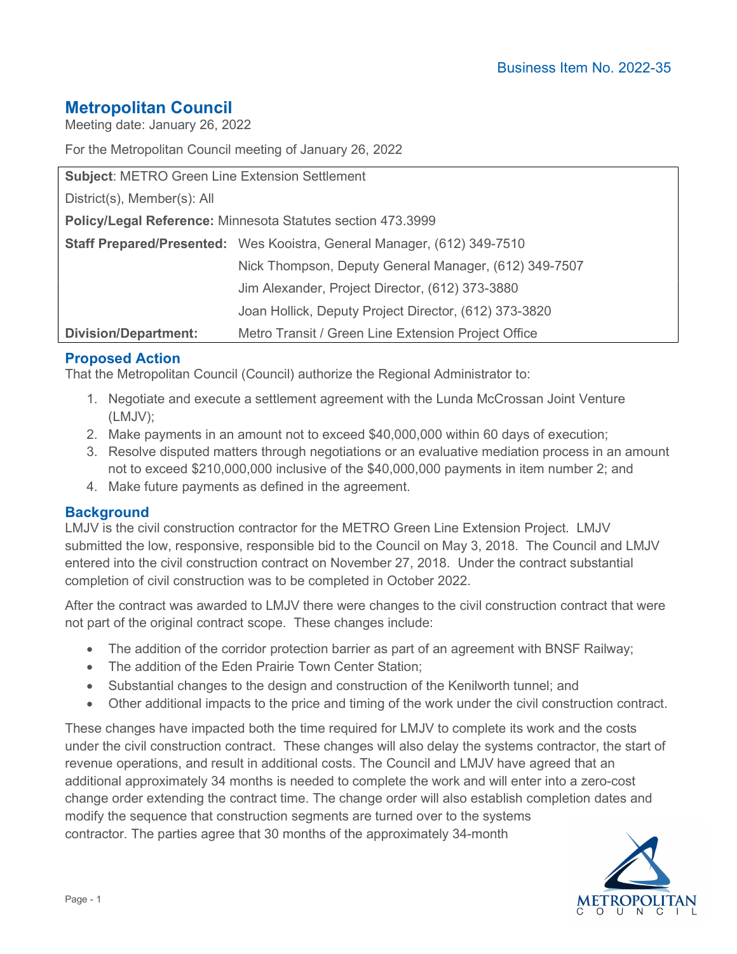# Metropolitan Council

Meeting date: January 26, 2022

For the Metropolitan Council meeting of January 26, 2022

| <b>Subject: METRO Green Line Extension Settlement</b>       |                                                                         |
|-------------------------------------------------------------|-------------------------------------------------------------------------|
| District(s), Member(s): All                                 |                                                                         |
| Policy/Legal Reference: Minnesota Statutes section 473.3999 |                                                                         |
|                                                             | Staff Prepared/Presented: Wes Kooistra, General Manager, (612) 349-7510 |
|                                                             | Nick Thompson, Deputy General Manager, (612) 349-7507                   |
|                                                             | Jim Alexander, Project Director, (612) 373-3880                         |
|                                                             | Joan Hollick, Deputy Project Director, (612) 373-3820                   |
| <b>Division/Department:</b>                                 | Metro Transit / Green Line Extension Project Office                     |

## Proposed Action

That the Metropolitan Council (Council) authorize the Regional Administrator to:

- 1. Negotiate and execute a settlement agreement with the Lunda McCrossan Joint Venture (LMJV);
- 2. Make payments in an amount not to exceed \$40,000,000 within 60 days of execution;
- 3. Resolve disputed matters through negotiations or an evaluative mediation process in an amount not to exceed \$210,000,000 inclusive of the \$40,000,000 payments in item number 2; and
- 4. Make future payments as defined in the agreement.

#### **Background**

LMJV is the civil construction contractor for the METRO Green Line Extension Project. LMJV submitted the low, responsive, responsible bid to the Council on May 3, 2018. The Council and LMJV entered into the civil construction contract on November 27, 2018. Under the contract substantial completion of civil construction was to be completed in October 2022.

After the contract was awarded to LMJV there were changes to the civil construction contract that were not part of the original contract scope. These changes include:

- The addition of the corridor protection barrier as part of an agreement with BNSF Railway;
- The addition of the Eden Prairie Town Center Station;
- Substantial changes to the design and construction of the Kenilworth tunnel; and
- Other additional impacts to the price and timing of the work under the civil construction contract.

These changes have impacted both the time required for LMJV to complete its work and the costs under the civil construction contract. These changes will also delay the systems contractor, the start of revenue operations, and result in additional costs. The Council and LMJV have agreed that an additional approximately 34 months is needed to complete the work and will enter into a zero-cost change order extending the contract time. The change order will also establish completion dates and modify the sequence that construction segments are turned over to the systems contractor. The parties agree that 30 months of the approximately 34-month

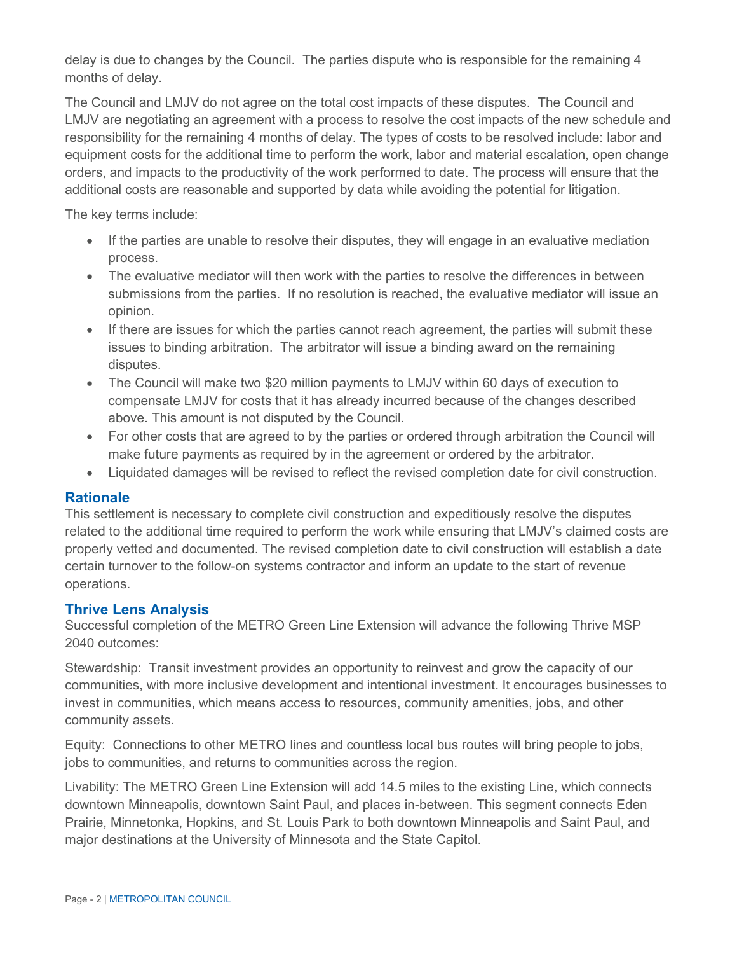delay is due to changes by the Council. The parties dispute who is responsible for the remaining 4 months of delay.

The Council and LMJV do not agree on the total cost impacts of these disputes. The Council and LMJV are negotiating an agreement with a process to resolve the cost impacts of the new schedule and responsibility for the remaining 4 months of delay. The types of costs to be resolved include: labor and equipment costs for the additional time to perform the work, labor and material escalation, open change orders, and impacts to the productivity of the work performed to date. The process will ensure that the additional costs are reasonable and supported by data while avoiding the potential for litigation.

The key terms include:

- If the parties are unable to resolve their disputes, they will engage in an evaluative mediation process.
- The evaluative mediator will then work with the parties to resolve the differences in between submissions from the parties. If no resolution is reached, the evaluative mediator will issue an opinion.
- If there are issues for which the parties cannot reach agreement, the parties will submit these issues to binding arbitration. The arbitrator will issue a binding award on the remaining disputes.
- The Council will make two \$20 million payments to LMJV within 60 days of execution to compensate LMJV for costs that it has already incurred because of the changes described above. This amount is not disputed by the Council.
- For other costs that are agreed to by the parties or ordered through arbitration the Council will make future payments as required by in the agreement or ordered by the arbitrator.
- Liquidated damages will be revised to reflect the revised completion date for civil construction.

#### **Rationale**

This settlement is necessary to complete civil construction and expeditiously resolve the disputes related to the additional time required to perform the work while ensuring that LMJV's claimed costs are properly vetted and documented. The revised completion date to civil construction will establish a date certain turnover to the follow-on systems contractor and inform an update to the start of revenue operations.

## Thrive Lens Analysis

Successful completion of the METRO Green Line Extension will advance the following Thrive MSP 2040 outcomes:

Stewardship: Transit investment provides an opportunity to reinvest and grow the capacity of our communities, with more inclusive development and intentional investment. It encourages businesses to invest in communities, which means access to resources, community amenities, jobs, and other community assets.

Equity: Connections to other METRO lines and countless local bus routes will bring people to jobs, jobs to communities, and returns to communities across the region.

Livability: The METRO Green Line Extension will add 14.5 miles to the existing Line, which connects downtown Minneapolis, downtown Saint Paul, and places in-between. This segment connects Eden Prairie, Minnetonka, Hopkins, and St. Louis Park to both downtown Minneapolis and Saint Paul, and major destinations at the University of Minnesota and the State Capitol.